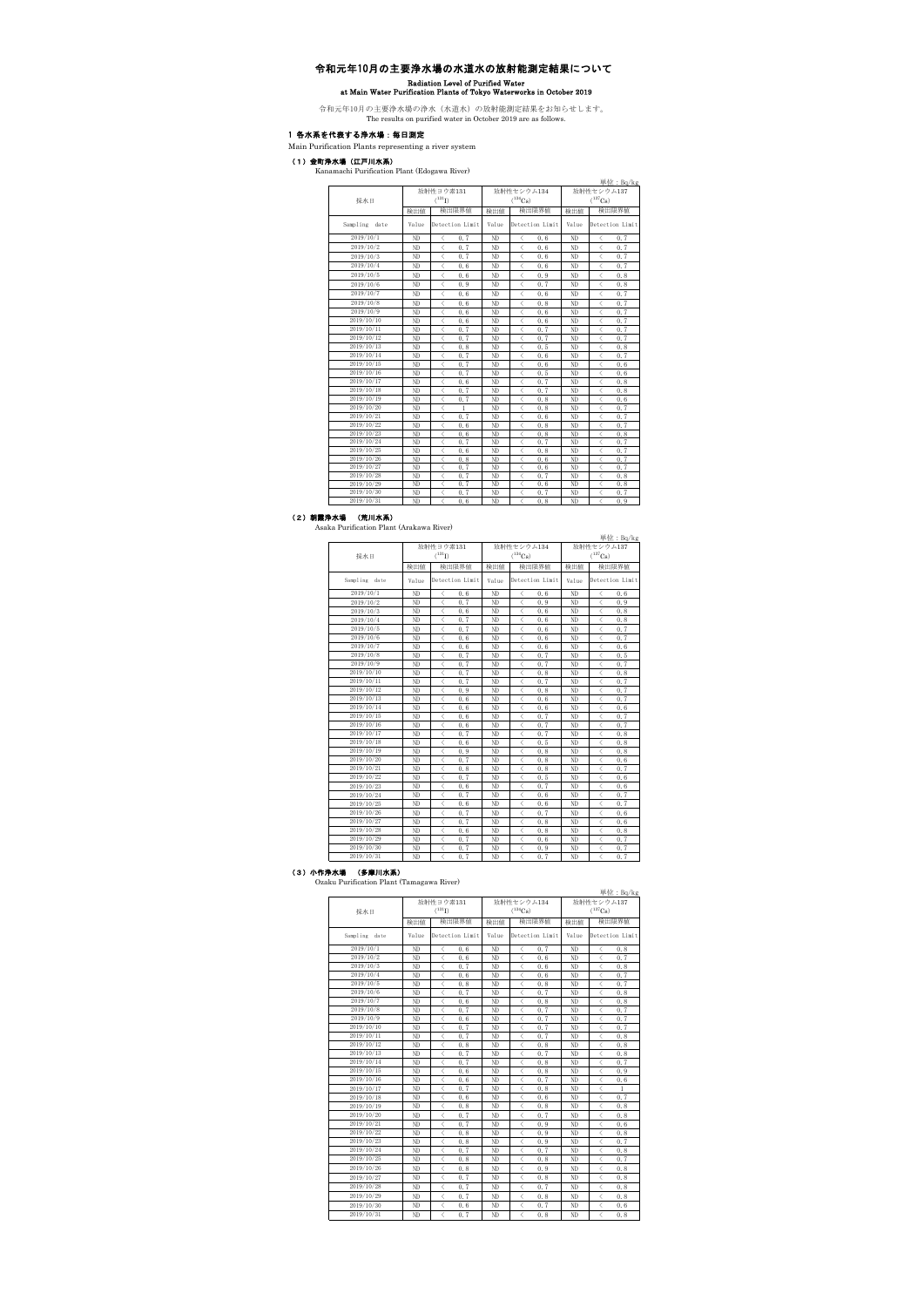# 令和元年10月の主要浄水場の水道水の放射能測定結果について Radiation Level of Purified Water at Main Water Purification Plants of Tokyo Waterworks in October 2019

令和元年10月の主要浄水場の浄水(水道水)の放射能測定結果をお知らせします。 The results on purified water in October 2019 are as follows.

## 1 各水系を代表する浄水場:毎日測定

Main Purification Plants representing a river system

### (1)金町浄水場(江戸川水系)

Kanamachi Purification Plant (Edogawa River)

|               |       |                                                          |       |                                                  |              | 単位: Bq/kg                                        |  |
|---------------|-------|----------------------------------------------------------|-------|--------------------------------------------------|--------------|--------------------------------------------------|--|
|               |       | 放射性ヨウ素131                                                |       | 放射性セシウム134                                       | 放射性セシウム137   |                                                  |  |
| 採水日           |       | $(^{131}I)$                                              |       | $(^{134}Cs)$                                     | $(^{137}Cs)$ |                                                  |  |
|               | 榆出值   | 检出限界值                                                    | 榆出值   | 检出限界值                                            | 榆出值          | 检出限界值                                            |  |
| Sampling date | Value | Detection Limit                                          | Value | Detection Limit                                  | Value        | Detection Limit                                  |  |
| 2019/10/1     | ND    | 0.7<br>$\overline{\left\langle \right\rangle }$          | ND    | 0, 6<br>$\overline{\left\langle \right\rangle }$ | ND           | $\overline{\left\langle \right\rangle }$<br>0.7  |  |
| 2019/10/2     | ND    | ८<br>0.7                                                 | ND    | ८<br>0, 6                                        | ND           | ₹<br>0, 7                                        |  |
| 2019/10/3     | ND    | l<br>0.7                                                 | ND    | $\overline{\left\langle \right\rangle }$<br>0.6  | ND           | Ż<br>0.7                                         |  |
| 2019/10/4     | ND    | ८<br>0.6                                                 | ND    | ८<br>0.6                                         | ND           | ८<br>0.7                                         |  |
| 2019/10/5     | ND    | ८<br>0.6                                                 | ND    | ८<br>0.9                                         | ND           | ८<br>0.8                                         |  |
| 2019/10/6     | ND    | 0.9<br>८                                                 | ND    | 0.7<br>$\langle$                                 | ND           | ८<br>0, 8                                        |  |
| 2019/10/7     | ND    | 0.6                                                      | ND    | l<br>0, 6                                        | ND           | $\langle$<br>0.7                                 |  |
| 2019/10/8     | ND    | $\overline{\left\langle \right\rangle }$<br>0.6          | ND    | $\overline{\left\langle \right\rangle }$<br>0, 8 | ND           | $\overline{\left\langle \right\rangle }$<br>0.7  |  |
| 2019/10/9     | ND    | ८<br>0.6                                                 | ND    | ८<br>0.6                                         | ND           | ८<br>0.7                                         |  |
| 2019/10/10    | ND    | ८<br>0.6                                                 | ND    | ८<br>0.6                                         | ND           | ८<br>0.7                                         |  |
| 2019/10/11    | ND    | 0.7<br>८                                                 | ND    | ८<br>0.7                                         | ND           | ८<br>0.7                                         |  |
| 2019/10/12    | ND    | 0.7<br>८                                                 | ND    | 0.7<br>८                                         | ND           | ८<br>0.7                                         |  |
| 2019/10/13    | ND    | 0.8<br>८                                                 | ND    | ८<br>0.5                                         | ND           | ८<br>0, 8                                        |  |
| 2019/10/14    | ND    | $\overline{\left\langle \right\rangle }$<br>0.7          | ND    | $\overline{\left\langle \right\rangle }$<br>0.6  | ND           | $\overline{\left\langle \right\rangle }$<br>0.7  |  |
| 2019/10/15    | ND    | 0.7<br>$\overline{\left\langle \right\rangle }$          | ND    | $\overline{\left\langle \right\rangle }$<br>0.6  | ND           | $\overline{\left\langle \right\rangle }$<br>0, 6 |  |
| 2019/10/16    | ND    | 0.7<br>$\overline{\left\langle \right\rangle }$          | ND    | $\overline{\left\langle \right\rangle }$<br>0.5  | ND           | $\overline{\left\langle \right\rangle }$<br>0, 6 |  |
| 2019/10/17    | ND    | $\overline{\left\langle \right\rangle }$<br>0.6          | ND    | $\overline{\left\langle \right\rangle }$<br>0.7  | ND           | $\overline{\left\langle \right\rangle }$<br>0, 8 |  |
| 2019/10/18    | ND    | 0.7<br>$\overline{\left\langle \right\rangle }$          | ND    | $\overline{\left\langle \right\rangle }$<br>0.7  | ND           | $\overline{\left\langle \right\rangle }$<br>0, 8 |  |
| 2019/10/19    | ND    | 0.7<br>$\overline{\left\langle \right\rangle }$          | ND    | $\overline{\left\langle \right\rangle }$<br>0, 8 | ND           | $\overline{\left\langle \right\rangle }$<br>0, 6 |  |
| 2019/10/20    | ND    | $\overline{\left\langle \right\rangle }$<br>$\mathbf{1}$ | ND    | l<br>0, 8                                        | ND           | $\overline{\left\langle \right\rangle }$<br>0.7  |  |
| 2019/10/21    | ND    | 0.7<br>८                                                 | ND    | ८<br>0.6                                         | ND           | ८<br>0.7                                         |  |
| 2019/10/22    | ND    | ८<br>0.6                                                 | ND    | ८<br>0, 8                                        | ND           | ८<br>0.7                                         |  |
| 2019/10/23    | ND    | ८<br>0.6                                                 | ND    | ८<br>0, 8                                        | ND           | ₹<br>0, 8                                        |  |
| 2019/10/24    | ND    | ८<br>0.7                                                 | ND    | 0.7<br>$\langle$                                 | ND           | ८<br>0, 7                                        |  |
| 2019/10/25    | ND    | 0.6<br>८                                                 | ND    | ✓<br>0, 8                                        | ND           | 0, 7<br>✓                                        |  |
| 2019/10/26    | ND    | ८<br>0.8                                                 | ND    | ८<br>0, 6                                        | ND           | 0.7<br>₹                                         |  |
| 2019/10/27    | ND    | l<br>0.7                                                 | ND    | ✓<br>0.6                                         | ND           | 0.7                                              |  |
| 2019/10/28    | ND    | 0.7<br>✓                                                 | ND    | 0.7<br>✓                                         | ND           | 0, 8                                             |  |
| 2019/10/29    | ND    | l<br>0.7                                                 | ND    | ✓<br>0, 6                                        | ND           | 0, 8                                             |  |
| 2019/10/30    | ND    | l<br>0.7                                                 | ND    | 0.7<br>✓                                         | ND           | 0.7                                              |  |
| 2019/10/31    | ND    | l<br>0.6                                                 | ND    | $\overline{\left\langle \right\rangle }$<br>0, 8 | ND           | l<br>0.9                                         |  |

(2) 朝霞浄水場 (荒川水系)<br>Asaka Purification Plant (Arakawa River)

|               |       |                                                 |       |                                                  |                            | 単位: Bq/kg                                       |  |
|---------------|-------|-------------------------------------------------|-------|--------------------------------------------------|----------------------------|-------------------------------------------------|--|
|               |       | 放射性ヨウ素131                                       |       | 放射性セシウム134                                       | 放射性セシウム137<br>$(^{137}Cs)$ |                                                 |  |
| 採水日           |       | $(^{131}I)$                                     |       | $(^{134}Cs)$                                     |                            |                                                 |  |
|               | 榆出值   | 检出限界值                                           | 检出值   | 检出限界值                                            | 榆出值                        | 检出限界值                                           |  |
| Sampling date | Value | Detection Limit                                 | Value | Detection Limit                                  | Value                      | Detection Limit                                 |  |
| 2019/10/1     | ND    | ₹<br>0.6                                        | ND    | $\langle$<br>0.6                                 | ND                         | 0.6<br>८                                        |  |
| 2019/10/2     | ND    | l<br>0.7                                        | ND    | $\overline{\left\langle \right\rangle }$<br>0.9  | ND                         | l<br>0.9                                        |  |
| 2019/10/3     | ND    | $\overline{\left\langle \right\rangle }$<br>0.6 | ND    | $\overline{\left\langle \right\rangle }$<br>0.6  | ND                         | 0.8                                             |  |
| 2019/10/4     | ND    | $\overline{\left\langle \right\rangle }$<br>0.7 | ND    | $\overline{\left\langle \right\rangle }$<br>0.6  | ND                         | $\overline{\left\langle \right\rangle }$<br>0.8 |  |
| 2019/10/5     | ND    | 0.7<br>$\overline{\left\langle \right\rangle }$ | ND    | $\overline{\left\langle \right\rangle }$<br>0, 6 | ND                         | $\overline{\left\langle \right\rangle }$<br>0.7 |  |
| 2019/10/6     | ND    | $\overline{\left\langle \right\rangle }$<br>0.6 | ND    | $\overline{\left\langle \right\rangle }$<br>0, 6 | ND                         | $\overline{\left\langle \right\rangle }$<br>0.7 |  |
| 2019/10/7     | ND    | $\overline{\left\langle \right\rangle }$<br>0.6 | ND    | $\overline{\left\langle \right\rangle }$<br>0.6  | ND                         | $\langle$<br>0.6                                |  |
| 2019/10/8     | ND    | ८<br>0.7                                        | ND    | 0.7<br>$\overline{\left\langle \right\rangle }$  | ND                         | ८<br>0.5                                        |  |
| 2019/10/9     | ND    | ८<br>0.7                                        | ND    | $\langle$<br>0.7                                 | ND                         | 0.7<br>८                                        |  |
| 2019/10/10    | ND    | ⟨<br>0.7                                        | ND    | 0.8                                              | ND                         | ८<br>0, 8                                       |  |
| 2019/10/11    | ND    | ⟨<br>0.7                                        | ND    | 0.7<br>⟨                                         | ND                         | ८<br>0.7                                        |  |
| 2019/10/12    | ND    | $\overline{\phantom{a}}$<br>0.9                 | ND    | $\overline{\left\langle \right\rangle }$<br>0, 8 | ND                         | $\overline{\left\langle \right\rangle }$<br>0.7 |  |
| 2019/10/13    | ND    | ⟨<br>0.6                                        | ND    | 0, 6                                             | ND                         | 0.7<br>⟨                                        |  |
| 2019/10/14    | ND    | $\overline{\phantom{a}}$<br>0.6                 | ND    | $\overline{\phantom{a}}$<br>0, 6                 | ND                         | $\overline{\phantom{a}}$<br>0.6                 |  |
| 2019/10/15    | ND    | $\overline{\phantom{a}}$<br>0.6                 | ND    | $\overline{\phantom{a}}$<br>0.7                  | ND                         | 0.7<br>८                                        |  |
| 2019/10/16    | ND    | $\overline{\phantom{a}}$<br>0.6                 | ND    | $\overline{\phantom{a}}$<br>0, 7                 | ND                         | $\overline{\left\langle \right\rangle }$<br>0.7 |  |
| 2019/10/17    | ND    | l<br>0.7                                        | ND    | l<br>0.7                                         | ND                         | $\overline{\left\langle \right\rangle }$<br>0.8 |  |
| 2019/10/18    | ND    | l<br>0.6                                        | ND    | 0.5<br>l                                         | ND                         | l<br>0.8                                        |  |
| 2019/10/19    | ND    | l<br>0.9                                        | ND    | $\overline{\phantom{a}}$<br>0, 8                 | ND                         | l<br>0.8                                        |  |
| 2019/10/20    | ND    | l<br>0.7                                        | ND    | l<br>0, 8                                        | ND                         | l<br>0.6                                        |  |
| 2019/10/21    | ND    | l<br>0.8                                        | ND    | l<br>0, 8                                        | ND                         | l<br>0.7                                        |  |
| 2019/10/22    | ND    | l<br>0.7                                        | ND    | $\overline{\left\langle \right\rangle }$<br>0.5  | ND                         | l<br>0.6                                        |  |
| 2019/10/23    | ND    | ८<br>0.6                                        | ND    | $\overline{\left\langle \right\rangle }$<br>0.7  | ND                         | $\langle$<br>0.6                                |  |
| 2019/10/24    | ND    | $\overline{\left\langle \right\rangle }$<br>0.7 | ND    | $\overline{\left\langle \right\rangle }$<br>0.6  | ND                         | $\overline{\left\langle \right\rangle }$<br>0.7 |  |
| 2019/10/25    | ND    | $\overline{\left\langle \right\rangle }$<br>0.6 | ND    | $\overline{\left\langle \right\rangle }$<br>0.6  | ND                         | 0.7<br>$\overline{\left\langle \right\rangle }$ |  |
| 2019/10/26    | ND    | 0.7<br>८                                        | ND    | $\overline{\left\langle \right\rangle }$<br>0.7  | ND                         | ८<br>0, 6                                       |  |
| 2019/10/27    | ND    | $\overline{\left\langle \right\rangle }$<br>0.7 | ND    | $\overline{\left\langle \right\rangle }$<br>0.8  | ND                         | $\overline{\left\langle \right\rangle }$<br>0.6 |  |
| 2019/10/28    | ND    | ८<br>0.6                                        | ND    | 0.8<br>८                                         | ND                         | ८<br>0.8                                        |  |
| 2019/10/29    | ND    | ⟨<br>0.7                                        | ND    | 0.6<br>८                                         | ND                         | ८<br>0.7                                        |  |
| 2019/10/30    | ND    | ⟨<br>0.7                                        | ND    | ⟨<br>0.9                                         | ND                         | ⟨<br>0.7                                        |  |
| 2019/10/31    | ND    | 0.7<br>✓                                        | ND    | 0.7<br>✓                                         | ND                         | ₹<br>0.7                                        |  |

(3) 小作浄水場 (多摩川水系)<br>Ozaku Purification Plant (Tamagawa River)

|               |       | 放射性ヨウ素131                                       | 単位: Bq/kg<br>放射性セシウム137<br>放射性セシウム134 |                                                 |              |                                                  |  |  |
|---------------|-------|-------------------------------------------------|---------------------------------------|-------------------------------------------------|--------------|--------------------------------------------------|--|--|
| 採水日           |       | $(^{131}I)$                                     |                                       | $(^{134}Cs)$                                    | $(^{137}Cs)$ |                                                  |  |  |
|               | 榆出值   | 检出限界值                                           | 榆出值                                   | 検出限界値                                           | 榆出值          | 检出限界值                                            |  |  |
| Sampling date | Value | Detection Limit                                 | Value                                 | Detection Limit                                 | Value        | Detection Limit                                  |  |  |
| 2019/10/1     | ND    | $\langle$<br>0.6                                | ND                                    | ८<br>0.7                                        | ND           | 0, 8<br>✓                                        |  |  |
| 2019/10/2     | ND    | $\overline{\left\langle \right\rangle }$<br>0.6 | ND                                    | 0.6<br>८                                        | ND           | ₹<br>0.7                                         |  |  |
| 2019/10/3     | ND    | ८<br>0.7                                        | ND                                    | $\overline{\left\langle \right\rangle }$<br>0.6 | ND           | 0.8<br>✓                                         |  |  |
| 2019/10/4     | ND    | $\overline{\left\langle \right\rangle }$<br>0.6 | ND                                    | $\overline{\left\langle \right\rangle }$<br>0.6 | ND           | 0.7                                              |  |  |
| 2019/10/5     | ND    | $\overline{\left\langle \right\rangle }$<br>0.8 | ND                                    | $\overline{\left\langle \right\rangle }$<br>0.8 | ND           | $\overline{\left\langle \right\rangle }$<br>0.7  |  |  |
| 2019/10/6     | ND    | $\overline{\left\langle \right\rangle }$<br>0.7 | ND                                    | $\overline{\left\langle \right\rangle }$<br>0.7 | ND           | 0.8                                              |  |  |
| 2019/10/7     | ND    | $\overline{\left\langle \right\rangle }$<br>0.6 | ND                                    | $\overline{\left\langle \right\rangle }$<br>0.8 | ND           | ✓<br>0.8                                         |  |  |
| 2019/10/8     | ND    | $\overline{\left\langle \right\rangle }$<br>0.7 | ND                                    | 0.7<br>$\overline{\left\langle \right\rangle }$ | ND           | 0.7<br>८                                         |  |  |
| 2019/10/9     | ND    | ८<br>0.6                                        | ND                                    | 0.7<br>८                                        | ND           | ८<br>0.7                                         |  |  |
| 2019/10/10    | ND    | $\overline{\left\langle \right\rangle }$<br>0.7 | ND                                    | 0.7<br>८                                        | ND           | 0.7<br>₹                                         |  |  |
| 2019/10/11    | ND    | $\overline{\left\langle \right\rangle }$<br>0.7 | ND                                    | 0.7<br>$\overline{\left\langle \right\rangle }$ | ND           | ८<br>0.8                                         |  |  |
| 2019/10/12    | ND    | $\overline{\phantom{a}}$<br>0, 8                | ND                                    | $\overline{\left\langle \right\rangle }$<br>0.8 | ND           | ⟨<br>0, 8                                        |  |  |
| 2019/10/13    | ND    | $\overline{\phantom{a}}$<br>0.7                 | ND                                    | 0.7<br>$\overline{\left\langle \right\rangle }$ | ND           | ₹<br>0.8                                         |  |  |
| 2019/10/14    | ND    | $\overline{\phantom{a}}$<br>0.7                 | ND                                    | $\overline{\left\langle \right\rangle }$<br>0.8 | ND           | 0.7<br>✓                                         |  |  |
| 2019/10/15    | ND    | l<br>0.6                                        | ND                                    | $\overline{\left\langle \right\rangle }$<br>0.8 | ND           | ₹<br>0.9                                         |  |  |
| 2019/10/16    | ND    | $\overline{\left\langle \right\rangle }$<br>0.6 | ND                                    | $\overline{\left\langle \right\rangle }$<br>0.7 | ND           | $\overline{\left\langle \right\rangle }$<br>0, 6 |  |  |
| 2019/10/17    | ND    | $\overline{\left\langle \right\rangle }$<br>0.7 | ND                                    | $\overline{\left\langle \right\rangle }$<br>0.8 | ND           | ✓<br>1                                           |  |  |
| 2019/10/18    | ND    | Ż<br>0.6                                        | ND                                    | $\overline{\left\langle \right\rangle }$<br>0.6 | ND           | 0.7<br>l                                         |  |  |
| 2019/10/19    | ND    | $\overline{\left\langle \right\rangle }$<br>0.8 | ND                                    | $\overline{\left\langle \right\rangle }$<br>0.8 | ND           | l<br>0.8                                         |  |  |
| 2019/10/20    | ND    | $\overline{\left\langle \right\rangle }$<br>0.7 | ND                                    | $\overline{\left\langle \right\rangle }$<br>0.7 | ND           | 0.8<br>₹                                         |  |  |
| 2019/10/21    | ND    | $\overline{\left\langle \right\rangle }$<br>0.7 | ND                                    | $\overline{\left\langle \right\rangle }$<br>0.9 | ND           | 0, 6                                             |  |  |
| 2019/10/22    | ND    | $\overline{\left\langle \right\rangle }$<br>0.8 | ND                                    | $\overline{\left\langle \right\rangle }$<br>0.9 | ND           | $\overline{\left\langle \right\rangle }$<br>0.8  |  |  |
| 2019/10/23    | ND    | $\overline{\left\langle \right\rangle }$<br>0.8 | ND                                    | $\overline{\left\langle \right\rangle }$<br>0.9 | ND           | $\overline{\left\langle \right\rangle }$<br>0.7  |  |  |
| 2019/10/24    | ND    | l<br>0.7                                        | ND                                    | $\overline{\left\langle \right\rangle }$<br>0.7 | ND           | ₹<br>0.8                                         |  |  |
| 2019/10/25    | ND    | $\overline{\left\langle \right\rangle }$<br>0.8 | ND                                    | $\overline{\left\langle \right\rangle }$<br>0.8 | ND           | $\overline{\left\langle \right\rangle }$<br>0.7  |  |  |
| 2019/10/26    | ND    | $\overline{\left\langle \right\rangle }$<br>0.8 | ND                                    | $\overline{\left\langle \right\rangle }$<br>0.9 | ND           | 0.8                                              |  |  |
| 2019/10/27    | ND    | $\overline{\left\langle \right\rangle }$<br>0.7 | ND                                    | $\overline{\left\langle \right\rangle }$<br>0.8 | ND           | $\langle$<br>0.8                                 |  |  |
| 2019/10/28    | ND    | $\overline{\left\langle \right\rangle }$<br>0.7 | ND                                    | $\overline{\left\langle \right\rangle }$<br>0.7 | ND           | 0.8                                              |  |  |
| 2019/10/29    | ND    | $\langle$<br>0.7                                | ND                                    | く<br>0, 8                                       | ND           | 0, 8<br>$\langle$                                |  |  |
| 2019/10/30    | ND    | $\overline{\left\langle \right\rangle }$<br>0.6 | ND                                    | $\overline{\left\langle \right\rangle }$<br>0.7 | ND           | $\overline{\left\langle \right\rangle }$<br>0, 6 |  |  |
| 2019/10/31    | ND    | $\overline{\left\langle \right\rangle }$<br>0.7 | ND                                    | $\overline{\left\langle \right\rangle }$<br>0.8 | ND           | l<br>0.8                                         |  |  |